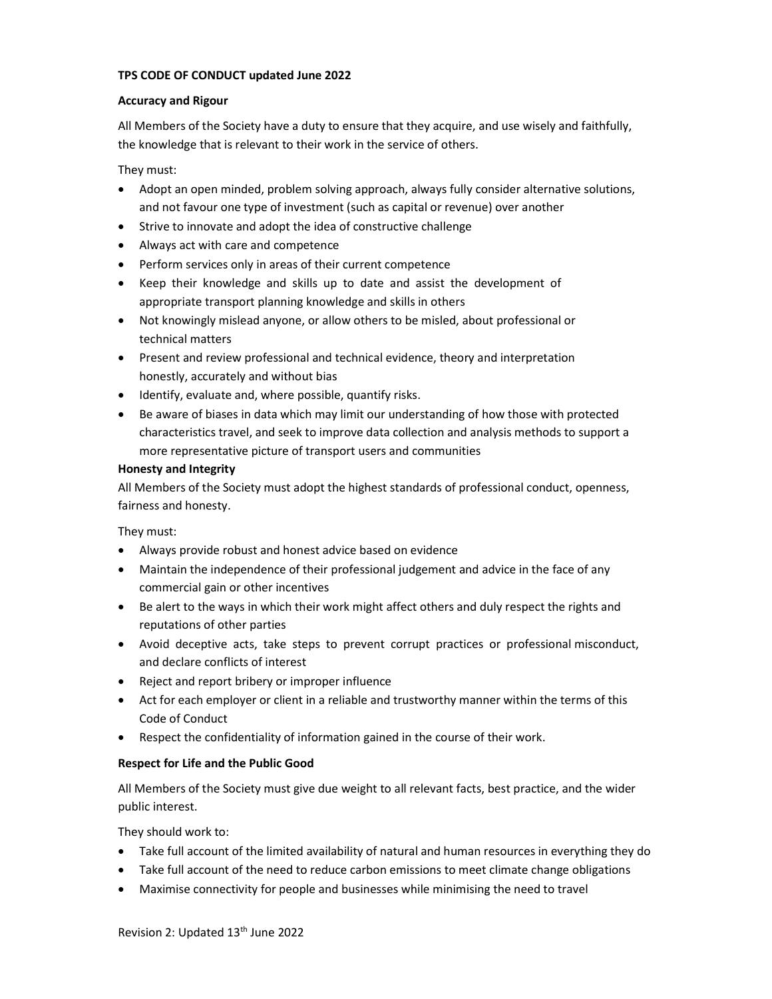#### TPS CODE OF CONDUCT updated June 2022

#### Accuracy and Rigour

All Members of the Society have a duty to ensure that they acquire, and use wisely and faithfully, the knowledge that is relevant to their work in the service of others.

They must:

- Adopt an open minded, problem solving approach, always fully consider alternative solutions, and not favour one type of investment (such as capital or revenue) over another
- Strive to innovate and adopt the idea of constructive challenge
- Always act with care and competence
- Perform services only in areas of their current competence
- Keep their knowledge and skills up to date and assist the development of appropriate transport planning knowledge and skills in others
- Not knowingly mislead anyone, or allow others to be misled, about professional or technical matters
- Present and review professional and technical evidence, theory and interpretation honestly, accurately and without bias
- Identify, evaluate and, where possible, quantify risks.
- Be aware of biases in data which may limit our understanding of how those with protected characteristics travel, and seek to improve data collection and analysis methods to support a more representative picture of transport users and communities

#### Honesty and Integrity

All Members of the Society must adopt the highest standards of professional conduct, openness, fairness and honesty.

They must:

- Always provide robust and honest advice based on evidence
- Maintain the independence of their professional judgement and advice in the face of any commercial gain or other incentives
- Be alert to the ways in which their work might affect others and duly respect the rights and reputations of other parties
- Avoid deceptive acts, take steps to prevent corrupt practices or professional misconduct, and declare conflicts of interest
- Reject and report bribery or improper influence
- Act for each employer or client in a reliable and trustworthy manner within the terms of this Code of Conduct
- Respect the confidentiality of information gained in the course of their work.

# Respect for Life and the Public Good

All Members of the Society must give due weight to all relevant facts, best practice, and the wider public interest.

They should work to:

- Take full account of the limited availability of natural and human resources in everything they do
- Take full account of the need to reduce carbon emissions to meet climate change obligations
- Maximise connectivity for people and businesses while minimising the need to travel